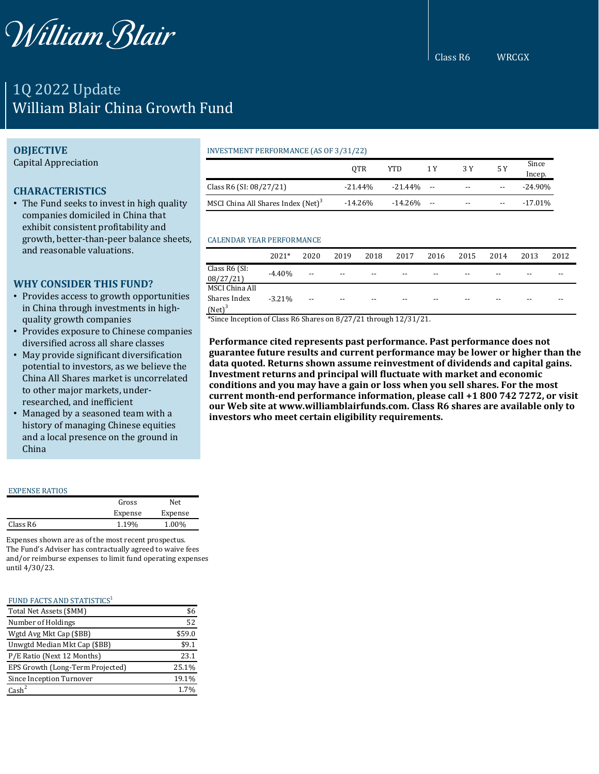

# 1Q 2022 Update William Blair China Growth Fund

# **OBJECTIVE**

Capital Appreciation

# **CHARACTERISTICS**

• The Fund seeks to invest in high quality companies domiciled in China that exhibit consistent profitability and growth, better-than-peer balance sheets, and reasonable valuations.

# **WHY CONSIDER THIS FUND?**

- Provides access to growth opportunities in China through investments in highquality growth companies
- Provides exposure to Chinese companies diversified across all share classes
- May provide significant diversification potential to investors, as we believe the China All Shares market is uncorrelated to other major markets, underresearched, and inefficient
- Managed by a seasoned team with a history of managing Chinese equities and a local presence on the ground in China

#### EXPENSE RATIOS

|          | Gross   | Net     |
|----------|---------|---------|
|          | Expense | Expense |
| Class R6 | 1.19%   | 1.00%   |

Expenses shown are as of the most recent prospectus. The Fund's Adviser has contractually agreed to waive fees and/or reimburse expenses to limit fund operating expenses until 4/30/23.

#### FUND FACTS AND STATISTICS<sup>1</sup>

| Total Net Assets (\$MM)          | \$6    |
|----------------------------------|--------|
| Number of Holdings               | 52     |
| Wgtd Avg Mkt Cap (\$BB)          | \$59.0 |
| Unwgtd Median Mkt Cap (\$BB)     | \$9.1  |
| P/E Ratio (Next 12 Months)       | 23.1   |
| EPS Growth (Long-Term Projected) | 25.1%  |
| Since Inception Turnover         | 19.1%  |
| Cash <sup>2</sup>                | 1.7%   |

## INVESTMENT PERFORMANCE (AS OF 3/31/22)

|                                                | 0TR        | YTD        | 1 Y                      | 3 Y   | 5 Y   | Since<br>Incep. |
|------------------------------------------------|------------|------------|--------------------------|-------|-------|-----------------|
| Class R6 (SI: 08/27/21)                        | $-21.44%$  | $-21.44\%$ | $\overline{\phantom{a}}$ | $- -$ | $- -$ | $-24.90\%$      |
| MSCI China All Shares Index (Net) <sup>3</sup> | $-14.26\%$ | -14.26%    | $- -$                    | $- -$ | $- -$ | $-17.01\%$      |

### CALENDAR YEAR PERFORMANCE

|                                             | $2021*$  | 2020  | 2019  | 2018  | 2017  | 2016  | 2015 | 2014  | 2013 | 2012 |
|---------------------------------------------|----------|-------|-------|-------|-------|-------|------|-------|------|------|
| Class $R6$ (SI:<br>08/27/21                 | $-4.40%$ | $- -$ | $- -$ | $- -$ | $- -$ | $- -$ | $-$  | $- -$ | --   | --   |
| MSCI China All<br>Shares Index<br>$(Net)^3$ | $-3.21%$ | $- -$ | $- -$ | $- -$ | $- -$ | $- -$ | $-$  | $- -$ | --   | --   |

\*Since Inception of Class R6 Shares on 8/27/21 through 12/31/21.

**Performance cited represents past performance. Past performance does not guarantee future results and current performance may be lower or higher than the data quoted. Returns shown assume reinvestment of dividends and capital gains. Investment returns and principal will fluctuate with market and economic conditions and you may have a gain or loss when you sell shares. For the most current month-end performance information, please call +1 800 742 7272, or visit our Web site at www.williamblairfunds.com. Class R6 shares are available only to investors who meet certain eligibility requirements.**